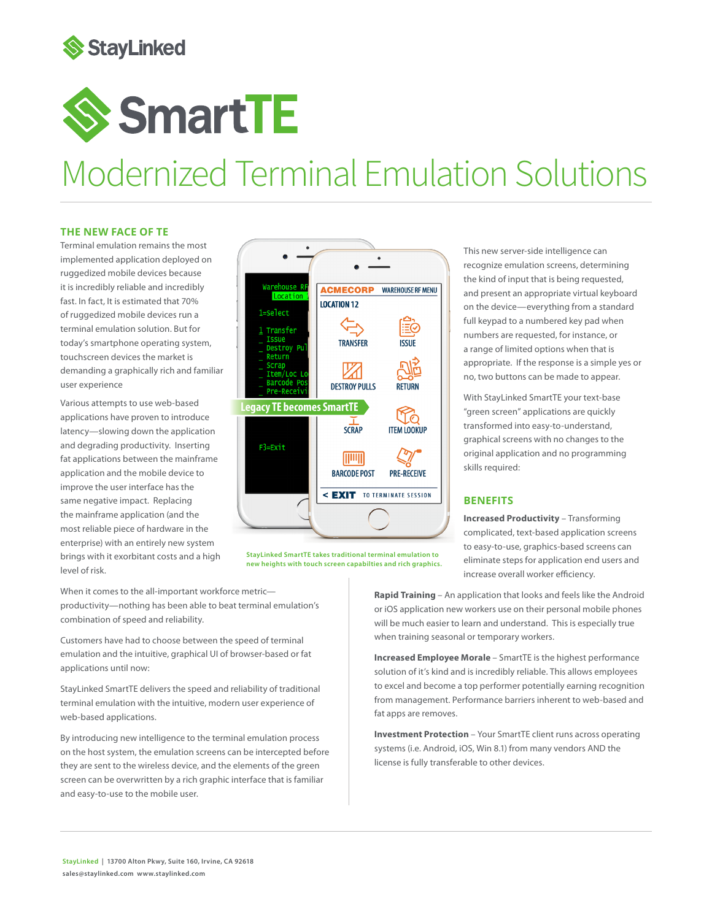

# **SmartTE**

# Modernized Terminal Emulation Solutions

#### **THE NEW FACE OF TE**

Terminal emulation remains the most implemented application deployed on ruggedized mobile devices because it is incredibly reliable and incredibly fast. In fact, It is estimated that 70% of ruggedized mobile devices run a terminal emulation solution. But for today's smartphone operating system, touchscreen devices the market is demanding a graphically rich and familiar user experience

Various attempts to use web-based applications have proven to introduce latency—slowing down the application and degrading productivity. Inserting fat applications between the mainframe application and the mobile device to improve the user interface has the same negative impact. Replacing the mainframe application (and the most reliable piece of hardware in the enterprise) with an entirely new system brings with it exorbitant costs and a high level of risk.



**StayLinked SmartTE takes traditional terminal emulation to new heights with touch screen capabilties and rich graphics.**

This new server-side intelligence can recognize emulation screens, determining the kind of input that is being requested, and present an appropriate virtual keyboard on the device—everything from a standard full keypad to a numbered key pad when numbers are requested, for instance, or a range of limited options when that is appropriate. If the response is a simple yes or no, two buttons can be made to appear.

With StayLinked SmartTE your text-base "green screen" applications are quickly transformed into easy-to-understand, graphical screens with no changes to the original application and no programming skills required:

### **BENEFITS**

**Increased Productivity** – Transforming complicated, text-based application screens to easy-to-use, graphics-based screens can eliminate steps for application end users and increase overall worker efficiency.

When it comes to the all-important workforce metric productivity—nothing has been able to beat terminal emulation's combination of speed and reliability.

Customers have had to choose between the speed of terminal emulation and the intuitive, graphical UI of browser-based or fat applications until now:

StayLinked SmartTE delivers the speed and reliability of traditional terminal emulation with the intuitive, modern user experience of web-based applications.

By introducing new intelligence to the terminal emulation process on the host system, the emulation screens can be intercepted before they are sent to the wireless device, and the elements of the green screen can be overwritten by a rich graphic interface that is familiar and easy-to-use to the mobile user.

**Rapid Training** – An application that looks and feels like the Android or iOS application new workers use on their personal mobile phones will be much easier to learn and understand. This is especially true when training seasonal or temporary workers.

**Increased Employee Morale** – SmartTE is the highest performance solution of it's kind and is incredibly reliable. This allows employees to excel and become a top performer potentially earning recognition from management. Performance barriers inherent to web-based and fat apps are removes.

**Investment Protection** – Your SmartTE client runs across operating systems (i.e. Android, iOS, Win 8.1) from many vendors AND the license is fully transferable to other devices.